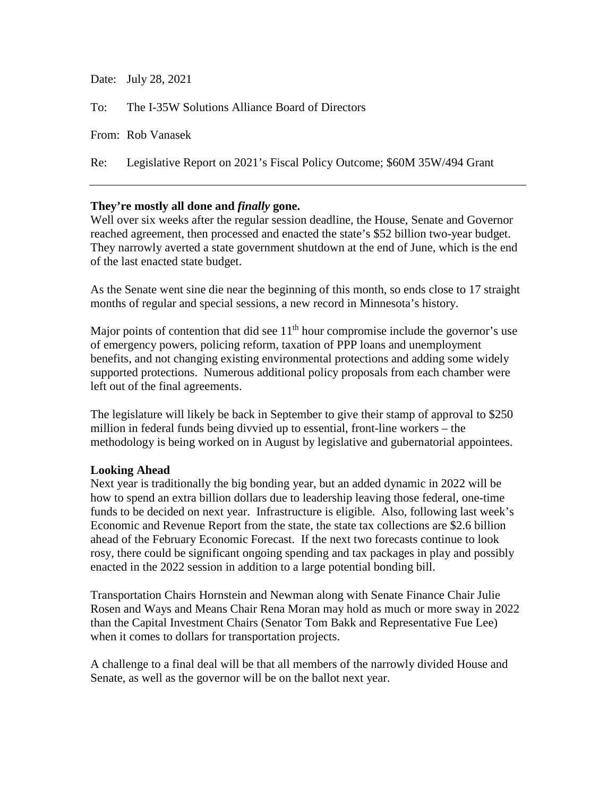| Date: July 28, 2021                                                         |
|-----------------------------------------------------------------------------|
| To: The I-35W Solutions Alliance Board of Directors                         |
| From: Rob Vanasek                                                           |
| Re: Legislative Report on 2021's Fiscal Policy Outcome; \$60M 35W/494 Grant |
|                                                                             |

# **They're mostly all done and** *finally* **gone.**

Well over six weeks after the regular session deadline, the House, Senate and Governor reached agreement, then processed and enacted the state's \$52 billion two-year budget. They narrowly averted a state government shutdown at the end of June, which is the end of the last enacted state budget.

As the Senate went sine die near the beginning of this month, so ends close to 17 straight months of regular and special sessions, a new record in Minnesota's history.

Major points of contention that did see  $11<sup>th</sup>$  hour compromise include the governor's use of emergency powers, policing reform, taxation of PPP loans and unemployment benefits, and not changing existing environmental protections and adding some widely supported protections. Numerous additional policy proposals from each chamber were left out of the final agreements.

The legislature will likely be back in September to give their stamp of approval to \$250 million in federal funds being divvied up to essential, front-line workers – the methodology is being worked on in August by legislative and gubernatorial appointees.

### **Looking Ahead**

Next year is traditionally the big bonding year, but an added dynamic in 2022 will be how to spend an extra billion dollars due to leadership leaving those federal, one-time funds to be decided on next year. Infrastructure is eligible. Also, following last week's Economic and Revenue Report from the state, the state tax collections are \$2.6 billion ahead of the February Economic Forecast. If the next two forecasts continue to look rosy, there could be significant ongoing spending and tax packages in play and possibly enacted in the 2022 session in addition to a large potential bonding bill.

Transportation Chairs Hornstein and Newman along with Senate Finance Chair Julie Rosen and Ways and Means Chair Rena Moran may hold as much or more sway in 2022 than the Capital Investment Chairs (Senator Tom Bakk and Representative Fue Lee) when it comes to dollars for transportation projects.

A challenge to a final deal will be that all members of the narrowly divided House and Senate, as well as the governor will be on the ballot next year.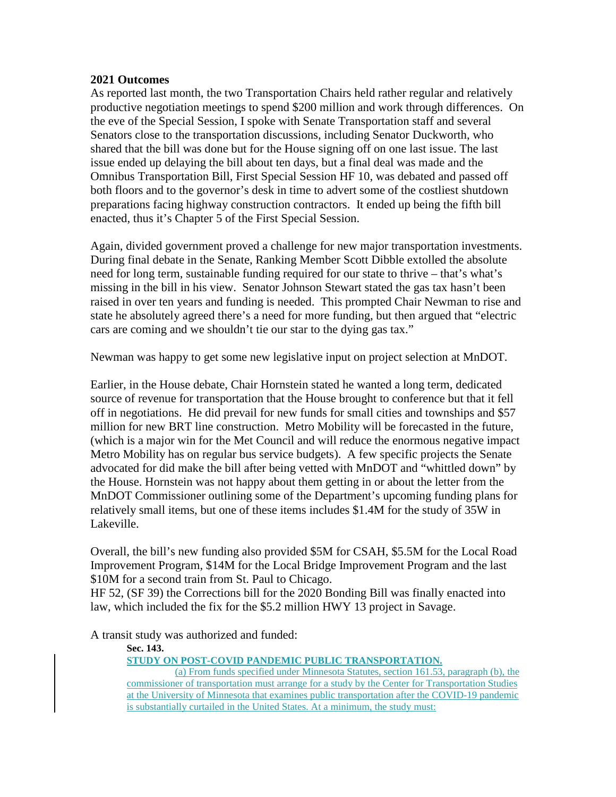#### **2021 Outcomes**

As reported last month, the two Transportation Chairs held rather regular and relatively productive negotiation meetings to spend \$200 million and work through differences. On the eve of the Special Session, I spoke with Senate Transportation staff and several Senators close to the transportation discussions, including Senator Duckworth, who shared that the bill was done but for the House signing off on one last issue. The last issue ended up delaying the bill about ten days, but a final deal was made and the Omnibus Transportation Bill, First Special Session HF 10, was debated and passed off both floors and to the governor's desk in time to advert some of the costliest shutdown preparations facing highway construction contractors. It ended up being the fifth bill enacted, thus it's Chapter 5 of the First Special Session.

Again, divided government proved a challenge for new major transportation investments. During final debate in the Senate, Ranking Member Scott Dibble extolled the absolute need for long term, sustainable funding required for our state to thrive – that's what's missing in the bill in his view. Senator Johnson Stewart stated the gas tax hasn't been raised in over ten years and funding is needed. This prompted Chair Newman to rise and state he absolutely agreed there's a need for more funding, but then argued that "electric cars are coming and we shouldn't tie our star to the dying gas tax."

Newman was happy to get some new legislative input on project selection at MnDOT.

Earlier, in the House debate, Chair Hornstein stated he wanted a long term, dedicated source of revenue for transportation that the House brought to conference but that it fell off in negotiations. He did prevail for new funds for small cities and townships and \$57 million for new BRT line construction. Metro Mobility will be forecasted in the future, (which is a major win for the Met Council and will reduce the enormous negative impact Metro Mobility has on regular bus service budgets). A few specific projects the Senate advocated for did make the bill after being vetted with MnDOT and "whittled down" by the House. Hornstein was not happy about them getting in or about the letter from the MnDOT Commissioner outlining some of the Department's upcoming funding plans for relatively small items, but one of these items includes \$1.4M for the study of 35W in Lakeville.

Overall, the bill's new funding also provided \$5M for CSAH, \$5.5M for the Local Road Improvement Program, \$14M for the Local Bridge Improvement Program and the last \$10M for a second train from St. Paul to Chicago.

HF 52, (SF 39) the Corrections bill for the 2020 Bonding Bill was finally enacted into law, which included the fix for the \$5.2 million HWY 13 project in Savage.

A transit study was authorized and funded:

#### **Sec. 143.**

**STUDY ON POST-COVID PANDEMIC PUBLIC TRANSPORTATION.**

(a) From funds specified under Minnesota Statutes, section 161.53, paragraph (b), the commissioner of transportation must arrange for a study by the Center for Transportation Studies at the University of Minnesota that examines public transportation after the COVID-19 pandemic is substantially curtailed in the United States. At a minimum, the study must: